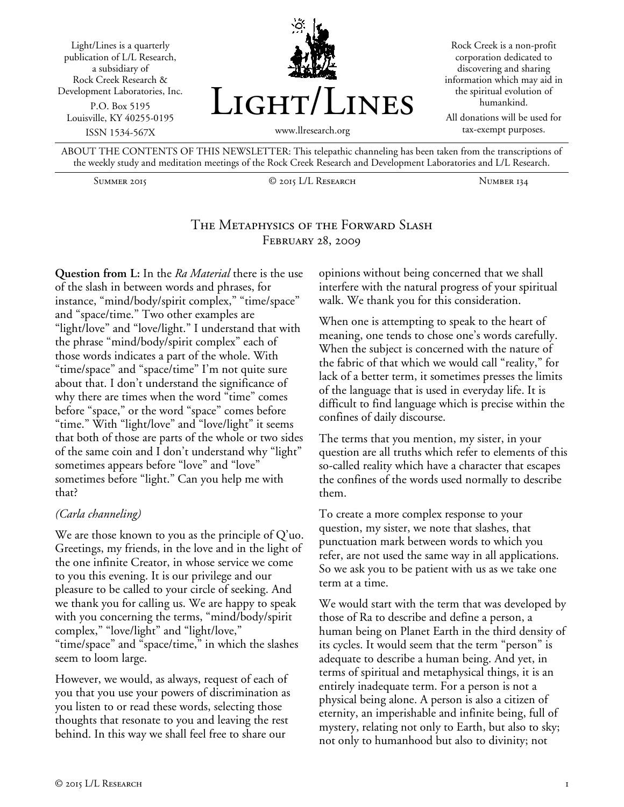

ABOUT THE CONTENTS OF THIS NEWSLETTER: This telepathic channeling has been taken from the transcriptions of the weekly study and meditation meetings of the Rock Creek Research and Development Laboratories and L/L Research.

Summer 2015 © 2015 L/L Research Number 134

# The Metaphysics of the Forward Slash February 28, 2009

**Question from L:** In the *Ra Material* there is the use of the slash in between words and phrases, for instance, "mind/body/spirit complex," "time/space" and "space/time." Two other examples are "light/love" and "love/light." I understand that with the phrase "mind/body/spirit complex" each of those words indicates a part of the whole. With "time/space" and "space/time" I'm not quite sure about that. I don't understand the significance of why there are times when the word "time" comes before "space," or the word "space" comes before "time." With "light/love" and "love/light" it seems that both of those are parts of the whole or two sides of the same coin and I don't understand why "light" sometimes appears before "love" and "love" sometimes before "light." Can you help me with that?

## *(Carla channeling)*

We are those known to you as the principle of Q'uo. Greetings, my friends, in the love and in the light of the one infinite Creator, in whose service we come to you this evening. It is our privilege and our pleasure to be called to your circle of seeking. And we thank you for calling us. We are happy to speak with you concerning the terms, "mind/body/spirit complex," "love/light" and "light/love," "time/space" and "space/time," in which the slashes seem to loom large.

However, we would, as always, request of each of you that you use your powers of discrimination as you listen to or read these words, selecting those thoughts that resonate to you and leaving the rest behind. In this way we shall feel free to share our

opinions without being concerned that we shall interfere with the natural progress of your spiritual walk. We thank you for this consideration.

When one is attempting to speak to the heart of meaning, one tends to chose one's words carefully. When the subject is concerned with the nature of the fabric of that which we would call "reality," for lack of a better term, it sometimes presses the limits of the language that is used in everyday life. It is difficult to find language which is precise within the confines of daily discourse.

The terms that you mention, my sister, in your question are all truths which refer to elements of this so-called reality which have a character that escapes the confines of the words used normally to describe them.

To create a more complex response to your question, my sister, we note that slashes, that punctuation mark between words to which you refer, are not used the same way in all applications. So we ask you to be patient with us as we take one term at a time.

We would start with the term that was developed by those of Ra to describe and define a person, a human being on Planet Earth in the third density of its cycles. It would seem that the term "person" is adequate to describe a human being. And yet, in terms of spiritual and metaphysical things, it is an entirely inadequate term. For a person is not a physical being alone. A person is also a citizen of eternity, an imperishable and infinite being, full of mystery, relating not only to Earth, but also to sky; not only to humanhood but also to divinity; not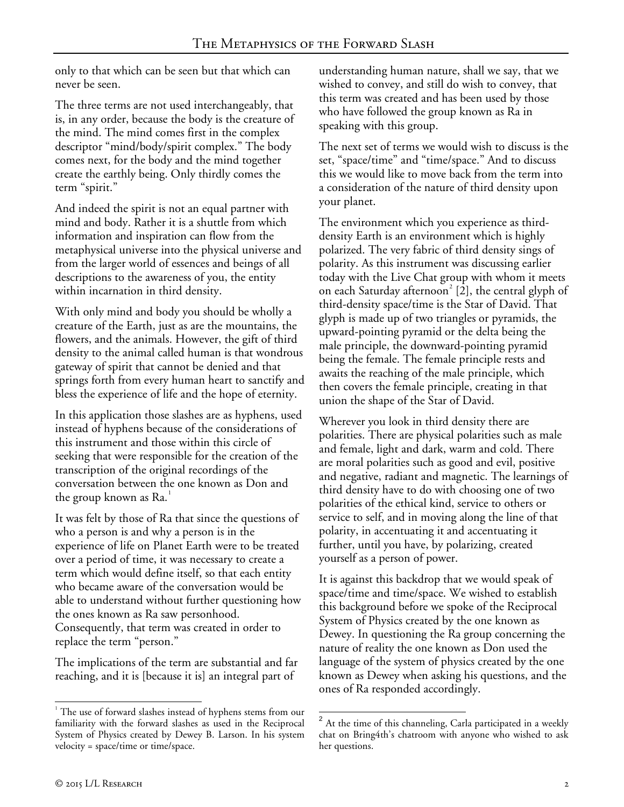only to that which can be seen but that which can never be seen.

The three terms are not used interchangeably, that is, in any order, because the body is the creature of the mind. The mind comes first in the complex descriptor "mind/body/spirit complex." The body comes next, for the body and the mind together create the earthly being. Only thirdly comes the term "spirit."

And indeed the spirit is not an equal partner with mind and body. Rather it is a shuttle from which information and inspiration can flow from the metaphysical universe into the physical universe and from the larger world of essences and beings of all descriptions to the awareness of you, the entity within incarnation in third density.

With only mind and body you should be wholly a creature of the Earth, just as are the mountains, the flowers, and the animals. However, the gift of third density to the animal called human is that wondrous gateway of spirit that cannot be denied and that springs forth from every human heart to sanctify and bless the experience of life and the hope of eternity.

In this application those slashes are as hyphens, used instead of hyphens because of the considerations of this instrument and those within this circle of seeking that were responsible for the creation of the transcription of the original recordings of the conversation between the one known as Don and the group known as Ra.<sup>[1](#page-1-0)</sup>

It was felt by those of Ra that since the questions of who a person is and why a person is in the experience of life on Planet Earth were to be treated over a period of time, it was necessary to create a term which would define itself, so that each entity who became aware of the conversation would be able to understand without further questioning how the ones known as Ra saw personhood. Consequently, that term was created in order to replace the term "person."

The implications of the term are substantial and far reaching, and it is [because it is] an integral part of

understanding human nature, shall we say, that we wished to convey, and still do wish to convey, that this term was created and has been used by those who have followed the group known as Ra in speaking with this group.

The next set of terms we would wish to discuss is the set, "space/time" and "time/space." And to discuss this we would like to move back from the term into a consideration of the nature of third density upon your planet.

The environment which you experience as thirddensity Earth is an environment which is highly polarized. The very fabric of third density sings of polarity. As this instrument was discussing earlier today with the Live Chat group with whom it meets on each Saturday afternoon<sup>[2](#page-1-1)</sup> [2], the central glyph of third-density space/time is the Star of David. That glyph is made up of two triangles or pyramids, the upward-pointing pyramid or the delta being the male principle, the downward-pointing pyramid being the female. The female principle rests and awaits the reaching of the male principle, which then covers the female principle, creating in that union the shape of the Star of David.

Wherever you look in third density there are polarities. There are physical polarities such as male and female, light and dark, warm and cold. There are moral polarities such as good and evil, positive and negative, radiant and magnetic. The learnings of third density have to do with choosing one of two polarities of the ethical kind, service to others or service to self, and in moving along the line of that polarity, in accentuating it and accentuating it further, until you have, by polarizing, created yourself as a person of power.

It is against this backdrop that we would speak of space/time and time/space. We wished to establish this background before we spoke of the Reciprocal System of Physics created by the one known as Dewey. In questioning the Ra group concerning the nature of reality the one known as Don used the language of the system of physics created by the one known as Dewey when asking his questions, and the ones of Ra responded accordingly.

f

-

<span id="page-1-1"></span><span id="page-1-0"></span><sup>&</sup>lt;sup>1</sup> The use of forward slashes instead of hyphens stems from our familiarity with the forward slashes as used in the Reciprocal System of Physics created by Dewey B. Larson. In his system velocity = space/time or time/space.

 $2$  At the time of this channeling, Carla participated in a weekly chat on Bring4th's chatroom with anyone who wished to ask her questions.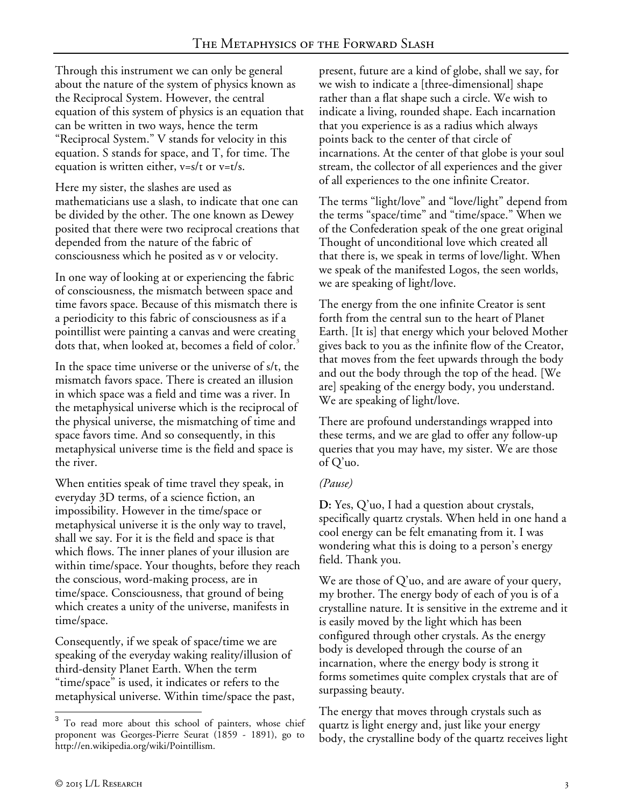Through this instrument we can only be general about the nature of the system of physics known as the Reciprocal System. However, the central equation of this system of physics is an equation that can be written in two ways, hence the term "Reciprocal System." V stands for velocity in this equation. S stands for space, and T, for time. The equation is written either, v=s/t or v=t/s.

Here my sister, the slashes are used as mathematicians use a slash, to indicate that one can be divided by the other. The one known as Dewey posited that there were two reciprocal creations that depended from the nature of the fabric of consciousness which he posited as v or velocity.

In one way of looking at or experiencing the fabric of consciousness, the mismatch between space and time favors space. Because of this mismatch there is a periodicity to this fabric of consciousness as if a pointillist were painting a canvas and were creating dots that, when looked at, becomes a field of color.<sup>[3](#page-2-0)</sup>

In the space time universe or the universe of s/t, the mismatch favors space. There is created an illusion in which space was a field and time was a river. In the metaphysical universe which is the reciprocal of the physical universe, the mismatching of time and space favors time. And so consequently, in this metaphysical universe time is the field and space is the river.

When entities speak of time travel they speak, in everyday 3D terms, of a science fiction, an impossibility. However in the time/space or metaphysical universe it is the only way to travel, shall we say. For it is the field and space is that which flows. The inner planes of your illusion are within time/space. Your thoughts, before they reach the conscious, word-making process, are in time/space. Consciousness, that ground of being which creates a unity of the universe, manifests in time/space.

Consequently, if we speak of space/time we are speaking of the everyday waking reality/illusion of third-density Planet Earth. When the term "time/space" is used, it indicates or refers to the metaphysical universe. Within time/space the past, present, future are a kind of globe, shall we say, for we wish to indicate a [three-dimensional] shape rather than a flat shape such a circle. We wish to indicate a living, rounded shape. Each incarnation that you experience is as a radius which always points back to the center of that circle of incarnations. At the center of that globe is your soul stream, the collector of all experiences and the giver of all experiences to the one infinite Creator.

The terms "light/love" and "love/light" depend from the terms "space/time" and "time/space." When we of the Confederation speak of the one great original Thought of unconditional love which created all that there is, we speak in terms of love/light. When we speak of the manifested Logos, the seen worlds, we are speaking of light/love.

The energy from the one infinite Creator is sent forth from the central sun to the heart of Planet Earth. [It is] that energy which your beloved Mother gives back to you as the infinite flow of the Creator, that moves from the feet upwards through the body and out the body through the top of the head. [We are] speaking of the energy body, you understand. We are speaking of light/love.

There are profound understandings wrapped into these terms, and we are glad to offer any follow-up queries that you may have, my sister. We are those of Q'uo.

## *(Pause)*

**D:** Yes, Q'uo, I had a question about crystals, specifically quartz crystals. When held in one hand a cool energy can be felt emanating from it. I was wondering what this is doing to a person's energy field. Thank you.

We are those of Q'uo, and are aware of your query, my brother. The energy body of each of you is of a crystalline nature. It is sensitive in the extreme and it is easily moved by the light which has been configured through other crystals. As the energy body is developed through the course of an incarnation, where the energy body is strong it forms sometimes quite complex crystals that are of surpassing beauty.

The energy that moves through crystals such as quartz is light energy and, just like your energy body, the crystalline body of the quartz receives light

<span id="page-2-0"></span><sup>&</sup>lt;sup>3</sup> To read more about this school of painters, whose chief proponent was Georges-Pierre Seurat (1859 - 1891), go to http://en.wikipedia.org/wiki/Pointillism. j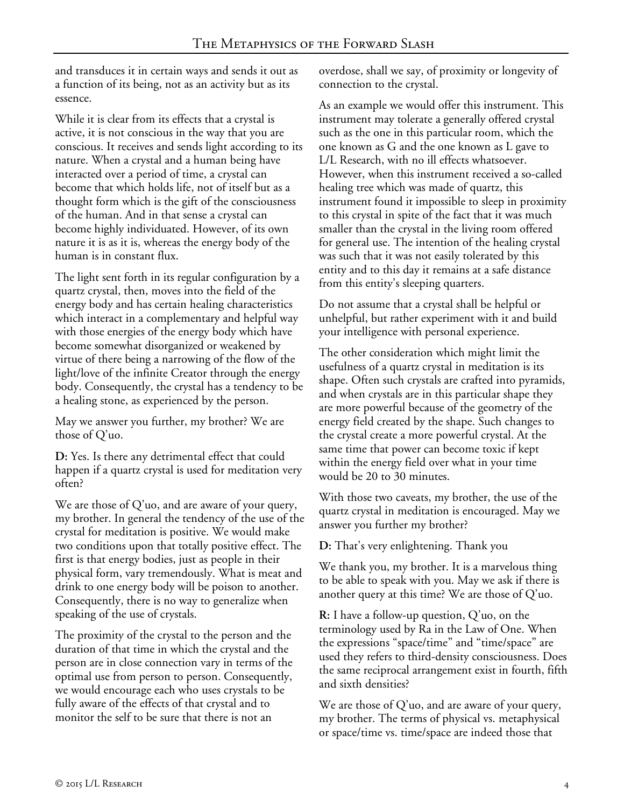and transduces it in certain ways and sends it out as a function of its being, not as an activity but as its essence.

While it is clear from its effects that a crystal is active, it is not conscious in the way that you are conscious. It receives and sends light according to its nature. When a crystal and a human being have interacted over a period of time, a crystal can become that which holds life, not of itself but as a thought form which is the gift of the consciousness of the human. And in that sense a crystal can become highly individuated. However, of its own nature it is as it is, whereas the energy body of the human is in constant flux.

The light sent forth in its regular configuration by a quartz crystal, then, moves into the field of the energy body and has certain healing characteristics which interact in a complementary and helpful way with those energies of the energy body which have become somewhat disorganized or weakened by virtue of there being a narrowing of the flow of the light/love of the infinite Creator through the energy body. Consequently, the crystal has a tendency to be a healing stone, as experienced by the person.

May we answer you further, my brother? We are those of Q'uo.

**D:** Yes. Is there any detrimental effect that could happen if a quartz crystal is used for meditation very often?

We are those of Q'uo, and are aware of your query, my brother. In general the tendency of the use of the crystal for meditation is positive. We would make two conditions upon that totally positive effect. The first is that energy bodies, just as people in their physical form, vary tremendously. What is meat and drink to one energy body will be poison to another. Consequently, there is no way to generalize when speaking of the use of crystals.

The proximity of the crystal to the person and the duration of that time in which the crystal and the person are in close connection vary in terms of the optimal use from person to person. Consequently, we would encourage each who uses crystals to be fully aware of the effects of that crystal and to monitor the self to be sure that there is not an

overdose, shall we say, of proximity or longevity of connection to the crystal.

As an example we would offer this instrument. This instrument may tolerate a generally offered crystal such as the one in this particular room, which the one known as G and the one known as L gave to L/L Research, with no ill effects whatsoever. However, when this instrument received a so-called healing tree which was made of quartz, this instrument found it impossible to sleep in proximity to this crystal in spite of the fact that it was much smaller than the crystal in the living room offered for general use. The intention of the healing crystal was such that it was not easily tolerated by this entity and to this day it remains at a safe distance from this entity's sleeping quarters.

Do not assume that a crystal shall be helpful or unhelpful, but rather experiment with it and build your intelligence with personal experience.

The other consideration which might limit the usefulness of a quartz crystal in meditation is its shape. Often such crystals are crafted into pyramids, and when crystals are in this particular shape they are more powerful because of the geometry of the energy field created by the shape. Such changes to the crystal create a more powerful crystal. At the same time that power can become toxic if kept within the energy field over what in your time would be 20 to 30 minutes.

With those two caveats, my brother, the use of the quartz crystal in meditation is encouraged. May we answer you further my brother?

**D:** That's very enlightening. Thank you

We thank you, my brother. It is a marvelous thing to be able to speak with you. May we ask if there is another query at this time? We are those of Q'uo.

**R:** I have a follow-up question, Q'uo, on the terminology used by Ra in the Law of One. When the expressions "space/time" and "time/space" are used they refers to third-density consciousness. Does the same reciprocal arrangement exist in fourth, fifth and sixth densities?

We are those of Q'uo, and are aware of your query, my brother. The terms of physical vs. metaphysical or space/time vs. time/space are indeed those that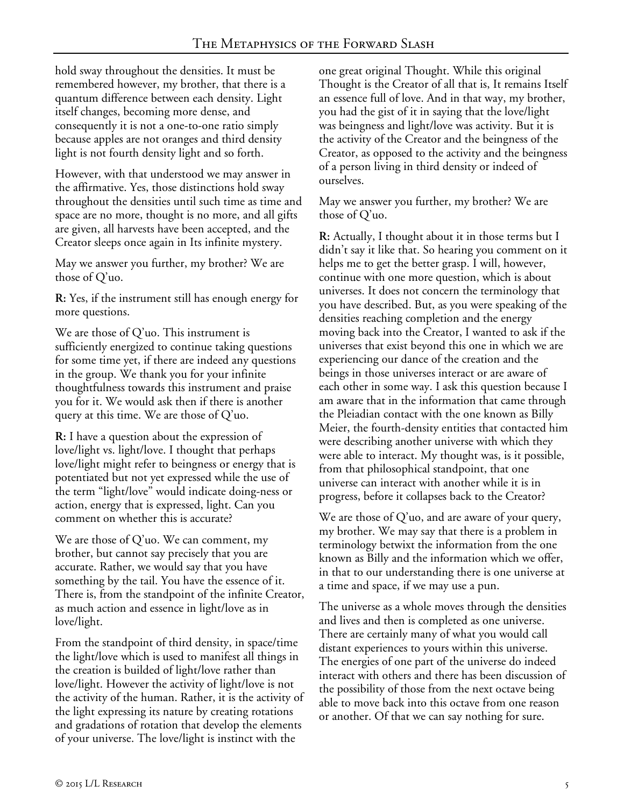hold sway throughout the densities. It must be remembered however, my brother, that there is a quantum difference between each density. Light itself changes, becoming more dense, and consequently it is not a one-to-one ratio simply because apples are not oranges and third density light is not fourth density light and so forth.

However, with that understood we may answer in the affirmative. Yes, those distinctions hold sway throughout the densities until such time as time and space are no more, thought is no more, and all gifts are given, all harvests have been accepted, and the Creator sleeps once again in Its infinite mystery.

May we answer you further, my brother? We are those of Q'uo.

**R:** Yes, if the instrument still has enough energy for more questions.

We are those of Q'uo. This instrument is sufficiently energized to continue taking questions for some time yet, if there are indeed any questions in the group. We thank you for your infinite thoughtfulness towards this instrument and praise you for it. We would ask then if there is another query at this time. We are those of Q'uo.

**R:** I have a question about the expression of love/light vs. light/love. I thought that perhaps love/light might refer to beingness or energy that is potentiated but not yet expressed while the use of the term "light/love" would indicate doing-ness or action, energy that is expressed, light. Can you comment on whether this is accurate?

We are those of Q'uo. We can comment, my brother, but cannot say precisely that you are accurate. Rather, we would say that you have something by the tail. You have the essence of it. There is, from the standpoint of the infinite Creator, as much action and essence in light/love as in love/light.

From the standpoint of third density, in space/time the light/love which is used to manifest all things in the creation is builded of light/love rather than love/light. However the activity of light/love is not the activity of the human. Rather, it is the activity of the light expressing its nature by creating rotations and gradations of rotation that develop the elements of your universe. The love/light is instinct with the

one great original Thought. While this original Thought is the Creator of all that is, It remains Itself an essence full of love. And in that way, my brother, you had the gist of it in saying that the love/light was beingness and light/love was activity. But it is the activity of the Creator and the beingness of the Creator, as opposed to the activity and the beingness of a person living in third density or indeed of ourselves.

May we answer you further, my brother? We are those of Q'uo.

**R:** Actually, I thought about it in those terms but I didn't say it like that. So hearing you comment on it helps me to get the better grasp. I will, however, continue with one more question, which is about universes. It does not concern the terminology that you have described. But, as you were speaking of the densities reaching completion and the energy moving back into the Creator, I wanted to ask if the universes that exist beyond this one in which we are experiencing our dance of the creation and the beings in those universes interact or are aware of each other in some way. I ask this question because I am aware that in the information that came through the Pleiadian contact with the one known as Billy Meier, the fourth-density entities that contacted him were describing another universe with which they were able to interact. My thought was, is it possible, from that philosophical standpoint, that one universe can interact with another while it is in progress, before it collapses back to the Creator?

We are those of Q'uo, and are aware of your query, my brother. We may say that there is a problem in terminology betwixt the information from the one known as Billy and the information which we offer, in that to our understanding there is one universe at a time and space, if we may use a pun.

The universe as a whole moves through the densities and lives and then is completed as one universe. There are certainly many of what you would call distant experiences to yours within this universe. The energies of one part of the universe do indeed interact with others and there has been discussion of the possibility of those from the next octave being able to move back into this octave from one reason or another. Of that we can say nothing for sure.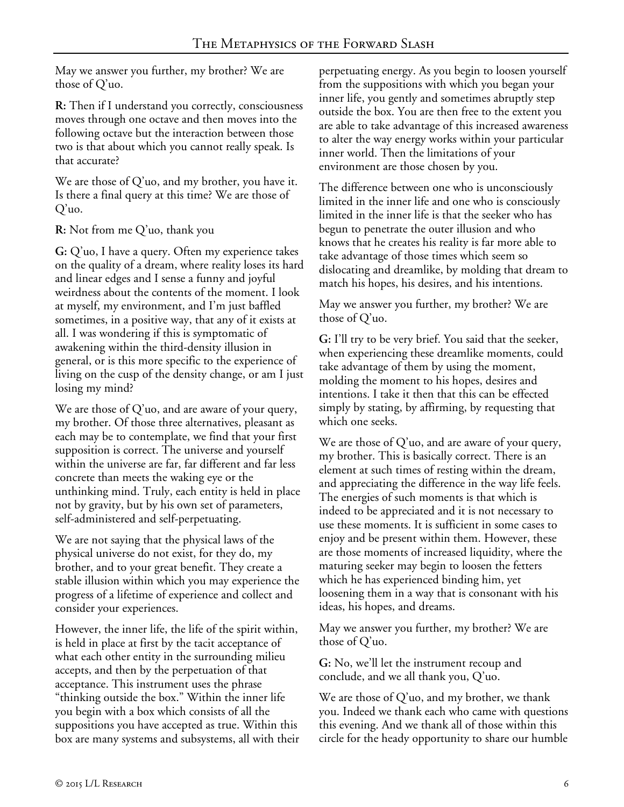May we answer you further, my brother? We are those of Q'uo.

**R:** Then if I understand you correctly, consciousness moves through one octave and then moves into the following octave but the interaction between those two is that about which you cannot really speak. Is that accurate?

We are those of Q'uo, and my brother, you have it. Is there a final query at this time? We are those of Q'uo.

**R:** Not from me Q'uo, thank you

**G:** Q'uo, I have a query. Often my experience takes on the quality of a dream, where reality loses its hard and linear edges and I sense a funny and joyful weirdness about the contents of the moment. I look at myself, my environment, and I'm just baffled sometimes, in a positive way, that any of it exists at all. I was wondering if this is symptomatic of awakening within the third-density illusion in general, or is this more specific to the experience of living on the cusp of the density change, or am I just losing my mind?

We are those of Q'uo, and are aware of your query, my brother. Of those three alternatives, pleasant as each may be to contemplate, we find that your first supposition is correct. The universe and yourself within the universe are far, far different and far less concrete than meets the waking eye or the unthinking mind. Truly, each entity is held in place not by gravity, but by his own set of parameters, self-administered and self-perpetuating.

We are not saying that the physical laws of the physical universe do not exist, for they do, my brother, and to your great benefit. They create a stable illusion within which you may experience the progress of a lifetime of experience and collect and consider your experiences.

However, the inner life, the life of the spirit within, is held in place at first by the tacit acceptance of what each other entity in the surrounding milieu accepts, and then by the perpetuation of that acceptance. This instrument uses the phrase "thinking outside the box." Within the inner life you begin with a box which consists of all the suppositions you have accepted as true. Within this box are many systems and subsystems, all with their perpetuating energy. As you begin to loosen yourself from the suppositions with which you began your inner life, you gently and sometimes abruptly step outside the box. You are then free to the extent you are able to take advantage of this increased awareness to alter the way energy works within your particular inner world. Then the limitations of your environment are those chosen by you.

The difference between one who is unconsciously limited in the inner life and one who is consciously limited in the inner life is that the seeker who has begun to penetrate the outer illusion and who knows that he creates his reality is far more able to take advantage of those times which seem so dislocating and dreamlike, by molding that dream to match his hopes, his desires, and his intentions.

May we answer you further, my brother? We are those of Q'uo.

**G:** I'll try to be very brief. You said that the seeker, when experiencing these dreamlike moments, could take advantage of them by using the moment, molding the moment to his hopes, desires and intentions. I take it then that this can be effected simply by stating, by affirming, by requesting that which one seeks.

We are those of  $Q'$ uo, and are aware of your query, my brother. This is basically correct. There is an element at such times of resting within the dream, and appreciating the difference in the way life feels. The energies of such moments is that which is indeed to be appreciated and it is not necessary to use these moments. It is sufficient in some cases to enjoy and be present within them. However, these are those moments of increased liquidity, where the maturing seeker may begin to loosen the fetters which he has experienced binding him, yet loosening them in a way that is consonant with his ideas, his hopes, and dreams.

May we answer you further, my brother? We are those of Q'uo.

**G:** No, we'll let the instrument recoup and conclude, and we all thank you, Q'uo.

We are those of  $Q'$ uo, and my brother, we thank you. Indeed we thank each who came with questions this evening. And we thank all of those within this circle for the heady opportunity to share our humble